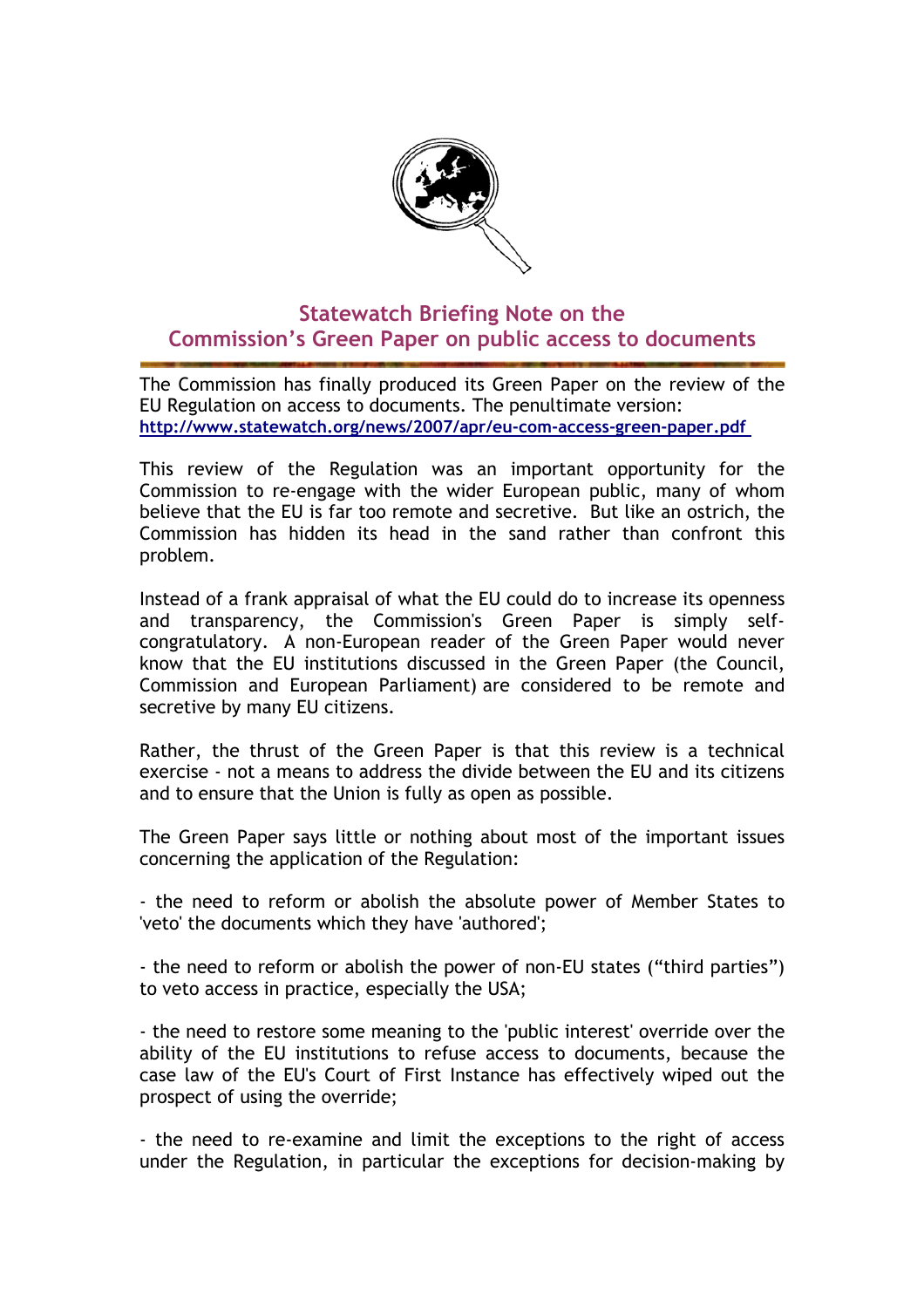

## **Statewatch Briefing Note on the Commission's Green Paper on public access to documents**

The Commission has finally produced its Green Paper on the review of the EU Regulation on access to documents. The penultimate version: **<http://www.statewatch.org/news/2007/apr/eu-com-access-green-paper.pdf>** 

This review of the Regulation was an important opportunity for the Commission to re-engage with the wider European public, many of whom believe that the EU is far too remote and secretive. But like an ostrich, the Commission has hidden its head in the sand rather than confront this problem.

Instead of a frank appraisal of what the EU could do to increase its openness and transparency, the Commission's Green Paper is simply selfcongratulatory. A non-European reader of the Green Paper would never know that the EU institutions discussed in the Green Paper (the Council, Commission and European Parliament) are considered to be remote and secretive by many EU citizens.

Rather, the thrust of the Green Paper is that this review is a technical exercise - not a means to address the divide between the EU and its citizens and to ensure that the Union is fully as open as possible.

The Green Paper says little or nothing about most of the important issues concerning the application of the Regulation:

- the need to reform or abolish the absolute power of Member States to 'veto' the documents which they have 'authored';

- the need to reform or abolish the power of non-EU states ("third parties") to veto access in practice, especially the USA;

- the need to restore some meaning to the 'public interest' override over the ability of the EU institutions to refuse access to documents, because the case law of the EU's Court of First Instance has effectively wiped out the prospect of using the override;

- the need to re-examine and limit the exceptions to the right of access under the Regulation, in particular the exceptions for decision-making by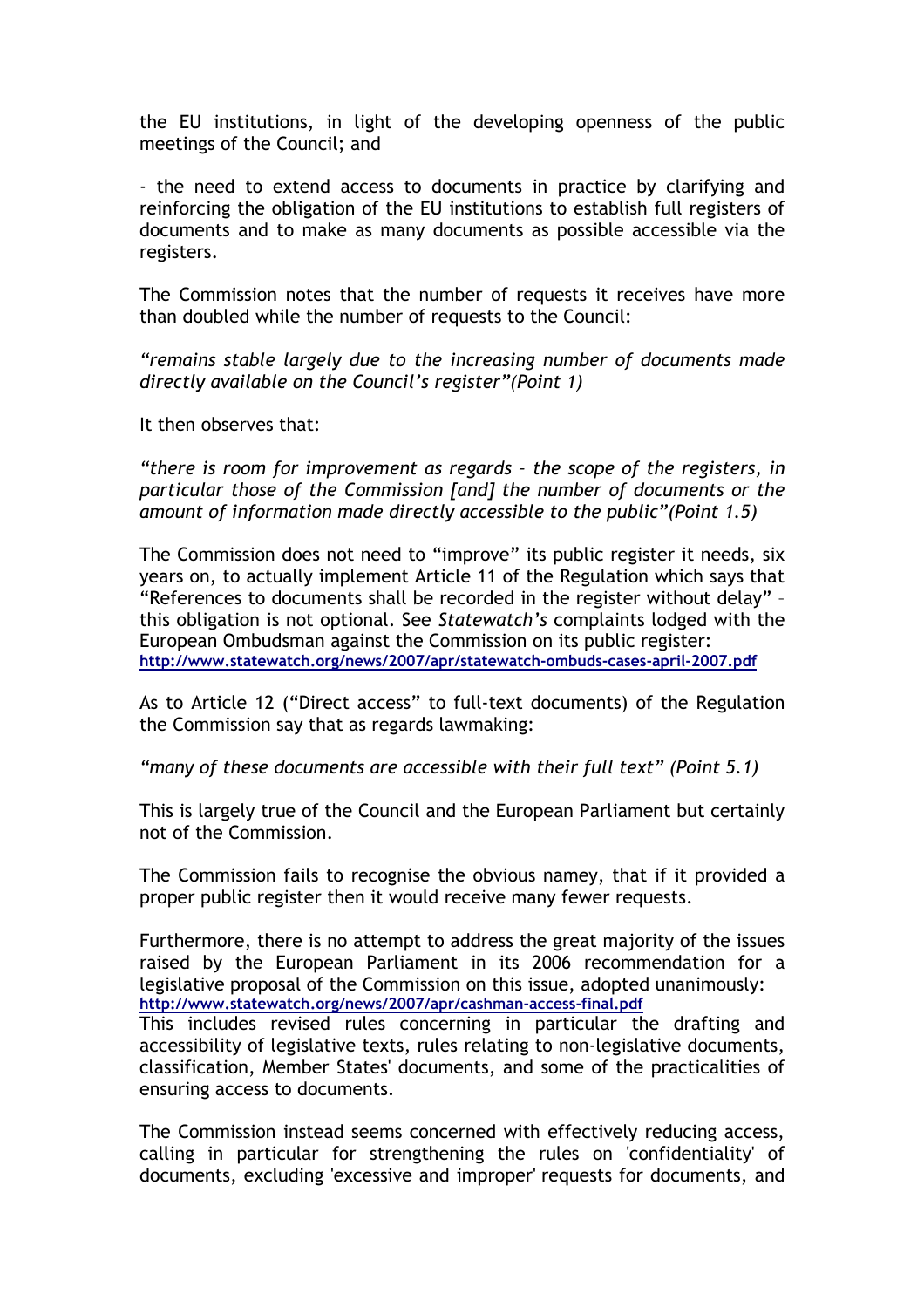the EU institutions, in light of the developing openness of the public meetings of the Council; and

- the need to extend access to documents in practice by clarifying and reinforcing the obligation of the EU institutions to establish full registers of documents and to make as many documents as possible accessible via the registers.

The Commission notes that the number of requests it receives have more than doubled while the number of requests to the Council:

*"remains stable largely due to the increasing number of documents made directly available on the Council's register"(Point 1)* 

It then observes that:

*"there is room for improvement as regards – the scope of the registers, in particular those of the Commission [and] the number of documents or the amount of information made directly accessible to the public"(Point 1.5)*

The Commission does not need to "improve" its public register it needs, six years on, to actually implement Article 11 of the Regulation which says that "References to documents shall be recorded in the register without delay" – this obligation is not optional. See *Statewatch's* complaints lodged with the European Ombudsman against the Commission on its public register: **<http://www.statewatch.org/news/2007/apr/statewatch-ombuds-cases-april-2007.pdf>**

As to Article 12 ("Direct access" to full-text documents) of the Regulation the Commission say that as regards lawmaking:

*"many of these documents are accessible with their full text" (Point 5.1)*

This is largely true of the Council and the European Parliament but certainly not of the Commission.

The Commission fails to recognise the obvious namey, that if it provided a proper public register then it would receive many fewer requests.

Furthermore, there is no attempt to address the great majority of the issues raised by the European Parliament in its 2006 recommendation for a legislative proposal of the Commission on this issue, adopted unanimously: **<http://www.statewatch.org/news/2007/apr/cashman-access-final.pdf>** 

This includes revised rules concerning in particular the drafting and accessibility of legislative texts, rules relating to non-legislative documents, classification, Member States' documents, and some of the practicalities of ensuring access to documents.

The Commission instead seems concerned with effectively reducing access, calling in particular for strengthening the rules on 'confidentiality' of documents, excluding 'excessive and improper' requests for documents, and